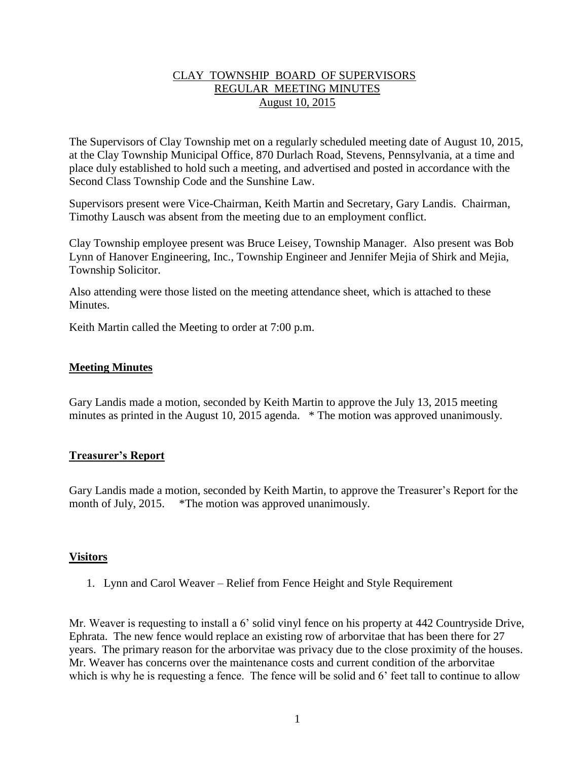### CLAY TOWNSHIP BOARD OF SUPERVISORS REGULAR MEETING MINUTES August 10, 2015

The Supervisors of Clay Township met on a regularly scheduled meeting date of August 10, 2015, at the Clay Township Municipal Office, 870 Durlach Road, Stevens, Pennsylvania, at a time and place duly established to hold such a meeting, and advertised and posted in accordance with the Second Class Township Code and the Sunshine Law.

Supervisors present were Vice-Chairman, Keith Martin and Secretary, Gary Landis. Chairman, Timothy Lausch was absent from the meeting due to an employment conflict.

Clay Township employee present was Bruce Leisey, Township Manager. Also present was Bob Lynn of Hanover Engineering, Inc., Township Engineer and Jennifer Mejia of Shirk and Mejia, Township Solicitor.

Also attending were those listed on the meeting attendance sheet, which is attached to these **Minutes** 

Keith Martin called the Meeting to order at 7:00 p.m.

#### **Meeting Minutes**

Gary Landis made a motion, seconded by Keith Martin to approve the July 13, 2015 meeting minutes as printed in the August 10, 2015 agenda. \* The motion was approved unanimously.

#### **Treasurer's Report**

Gary Landis made a motion, seconded by Keith Martin, to approve the Treasurer's Report for the month of July, 2015. \*The motion was approved unanimously.

#### **Visitors**

1. Lynn and Carol Weaver – Relief from Fence Height and Style Requirement

Mr. Weaver is requesting to install a 6' solid vinyl fence on his property at 442 Countryside Drive, Ephrata. The new fence would replace an existing row of arborvitae that has been there for 27 years. The primary reason for the arborvitae was privacy due to the close proximity of the houses. Mr. Weaver has concerns over the maintenance costs and current condition of the arborvitae which is why he is requesting a fence. The fence will be solid and 6<sup> $\cdot$ </sup> feet tall to continue to allow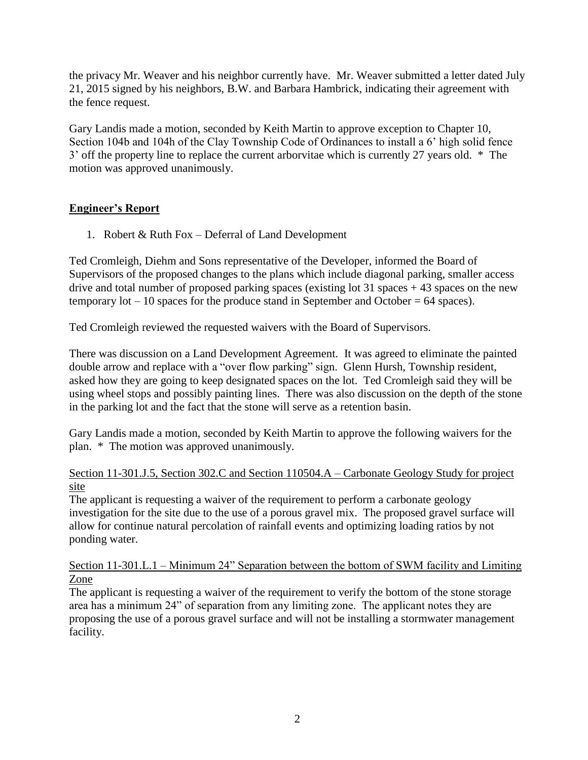the privacy Mr. Weaver and his neighbor currently have. Mr. Weaver submitted a letter dated July 21, 2015 signed by his neighbors, B.W. and Barbara Hambrick, indicating their agreement with the fence request.

Gary Landis made a motion, seconded by Keith Martin to approve exception to Chapter 10, Section 104b and 104h of the Clay Township Code of Ordinances to install a 6' high solid fence 3' off the property line to replace the current arborvitae which is currently 27 years old. \* The motion was approved unanimously.

# **Engineer's Report**

1. Robert & Ruth Fox – Deferral of Land Development

Ted Cromleigh, Diehm and Sons representative of the Developer, informed the Board of Supervisors of the proposed changes to the plans which include diagonal parking, smaller access drive and total number of proposed parking spaces (existing lot  $31$  spaces + 43 spaces on the new temporary  $\text{lot} - 10$  spaces for the produce stand in September and October = 64 spaces).

Ted Cromleigh reviewed the requested waivers with the Board of Supervisors.

There was discussion on a Land Development Agreement. It was agreed to eliminate the painted double arrow and replace with a "over flow parking" sign. Glenn Hursh, Township resident, asked how they are going to keep designated spaces on the lot. Ted Cromleigh said they will be using wheel stops and possibly painting lines. There was also discussion on the depth of the stone in the parking lot and the fact that the stone will serve as a retention basin.

Gary Landis made a motion, seconded by Keith Martin to approve the following waivers for the plan. \* The motion was approved unanimously.

### Section 11-301.J.5, Section 302.C and Section 110504.A – Carbonate Geology Study for project site

The applicant is requesting a waiver of the requirement to perform a carbonate geology investigation for the site due to the use of a porous gravel mix. The proposed gravel surface will allow for continue natural percolation of rainfall events and optimizing loading ratios by not ponding water.

Section 11-301.L.1 – Minimum 24" Separation between the bottom of SWM facility and Limiting Zone

The applicant is requesting a waiver of the requirement to verify the bottom of the stone storage area has a minimum 24" of separation from any limiting zone. The applicant notes they are proposing the use of a porous gravel surface and will not be installing a stormwater management facility.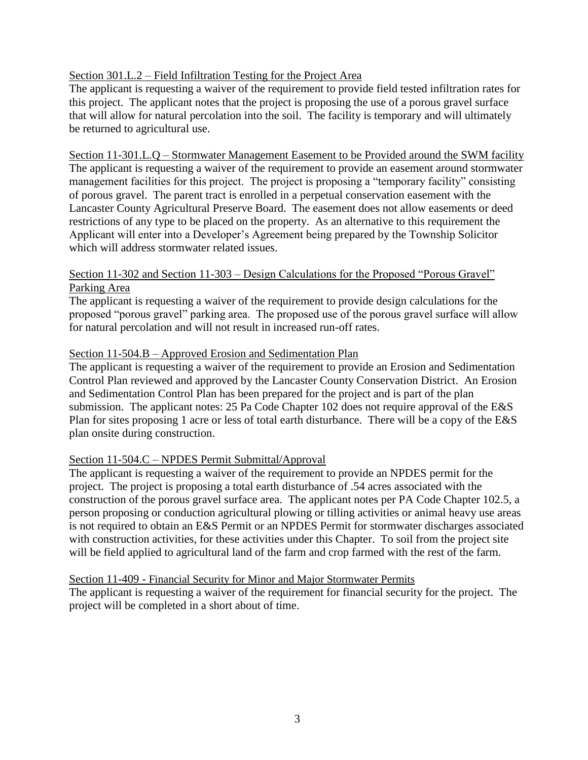### Section 301.L.2 – Field Infiltration Testing for the Project Area

The applicant is requesting a waiver of the requirement to provide field tested infiltration rates for this project. The applicant notes that the project is proposing the use of a porous gravel surface that will allow for natural percolation into the soil. The facility is temporary and will ultimately be returned to agricultural use.

Section 11-301.L.Q – Stormwater Management Easement to be Provided around the SWM facility The applicant is requesting a waiver of the requirement to provide an easement around stormwater management facilities for this project. The project is proposing a "temporary facility" consisting of porous gravel. The parent tract is enrolled in a perpetual conservation easement with the Lancaster County Agricultural Preserve Board. The easement does not allow easements or deed restrictions of any type to be placed on the property. As an alternative to this requirement the Applicant will enter into a Developer's Agreement being prepared by the Township Solicitor which will address stormwater related issues.

#### Section 11-302 and Section 11-303 – Design Calculations for the Proposed "Porous Gravel" Parking Area

The applicant is requesting a waiver of the requirement to provide design calculations for the proposed "porous gravel" parking area. The proposed use of the porous gravel surface will allow for natural percolation and will not result in increased run-off rates.

#### Section 11-504.B – Approved Erosion and Sedimentation Plan

The applicant is requesting a waiver of the requirement to provide an Erosion and Sedimentation Control Plan reviewed and approved by the Lancaster County Conservation District. An Erosion and Sedimentation Control Plan has been prepared for the project and is part of the plan submission. The applicant notes: 25 Pa Code Chapter 102 does not require approval of the E&S Plan for sites proposing 1 acre or less of total earth disturbance. There will be a copy of the E&S plan onsite during construction.

#### Section 11-504.C – NPDES Permit Submittal/Approval

The applicant is requesting a waiver of the requirement to provide an NPDES permit for the project. The project is proposing a total earth disturbance of .54 acres associated with the construction of the porous gravel surface area. The applicant notes per PA Code Chapter 102.5, a person proposing or conduction agricultural plowing or tilling activities or animal heavy use areas is not required to obtain an E&S Permit or an NPDES Permit for stormwater discharges associated with construction activities, for these activities under this Chapter. To soil from the project site will be field applied to agricultural land of the farm and crop farmed with the rest of the farm.

#### Section 11-409 - Financial Security for Minor and Major Stormwater Permits

The applicant is requesting a waiver of the requirement for financial security for the project. The project will be completed in a short about of time.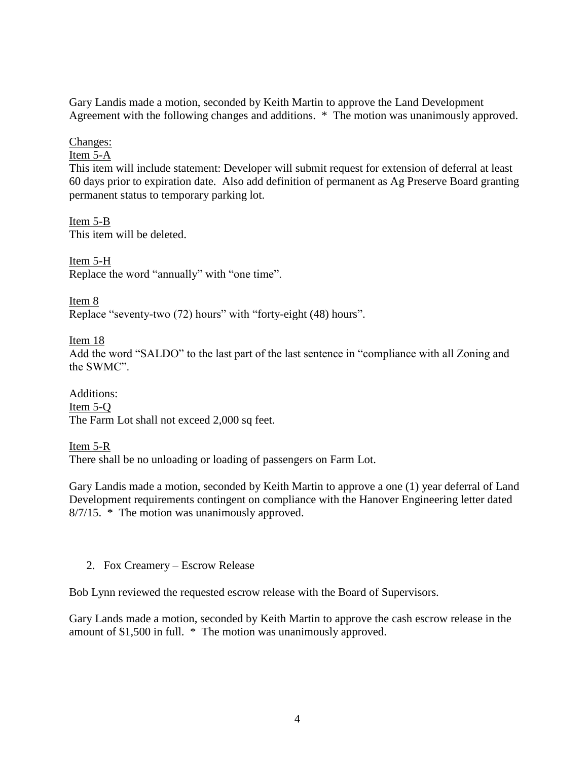Gary Landis made a motion, seconded by Keith Martin to approve the Land Development Agreement with the following changes and additions. \* The motion was unanimously approved.

### Changes:

### Item 5-A

This item will include statement: Developer will submit request for extension of deferral at least 60 days prior to expiration date. Also add definition of permanent as Ag Preserve Board granting permanent status to temporary parking lot.

Item 5-B This item will be deleted.

Item 5-H Replace the word "annually" with "one time".

Item 8 Replace "seventy-two (72) hours" with "forty-eight (48) hours".

Item 18 Add the word "SALDO" to the last part of the last sentence in "compliance with all Zoning and the SWMC".

Additions: Item 5-Q The Farm Lot shall not exceed 2,000 sq feet.

Item 5-R

There shall be no unloading or loading of passengers on Farm Lot.

Gary Landis made a motion, seconded by Keith Martin to approve a one (1) year deferral of Land Development requirements contingent on compliance with the Hanover Engineering letter dated 8/7/15. \* The motion was unanimously approved.

2. Fox Creamery – Escrow Release

Bob Lynn reviewed the requested escrow release with the Board of Supervisors.

Gary Lands made a motion, seconded by Keith Martin to approve the cash escrow release in the amount of \$1,500 in full. \* The motion was unanimously approved.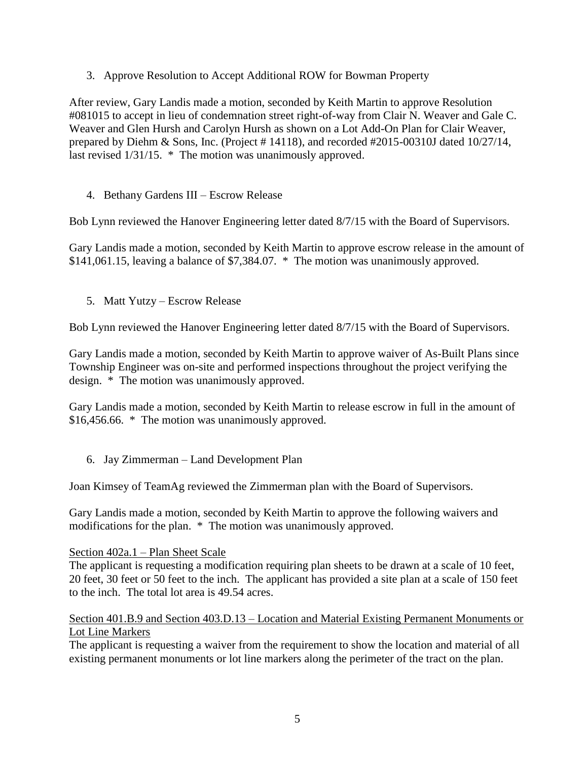3. Approve Resolution to Accept Additional ROW for Bowman Property

After review, Gary Landis made a motion, seconded by Keith Martin to approve Resolution #081015 to accept in lieu of condemnation street right-of-way from Clair N. Weaver and Gale C. Weaver and Glen Hursh and Carolyn Hursh as shown on a Lot Add-On Plan for Clair Weaver, prepared by Diehm & Sons, Inc. (Project # 14118), and recorded #2015-00310J dated 10/27/14, last revised 1/31/15. \* The motion was unanimously approved.

## 4. Bethany Gardens III – Escrow Release

Bob Lynn reviewed the Hanover Engineering letter dated 8/7/15 with the Board of Supervisors.

Gary Landis made a motion, seconded by Keith Martin to approve escrow release in the amount of \$141,061.15, leaving a balance of \$7,384.07. \* The motion was unanimously approved.

5. Matt Yutzy – Escrow Release

Bob Lynn reviewed the Hanover Engineering letter dated 8/7/15 with the Board of Supervisors.

Gary Landis made a motion, seconded by Keith Martin to approve waiver of As-Built Plans since Township Engineer was on-site and performed inspections throughout the project verifying the design. \* The motion was unanimously approved.

Gary Landis made a motion, seconded by Keith Martin to release escrow in full in the amount of \$16,456.66. \* The motion was unanimously approved.

6. Jay Zimmerman – Land Development Plan

Joan Kimsey of TeamAg reviewed the Zimmerman plan with the Board of Supervisors.

Gary Landis made a motion, seconded by Keith Martin to approve the following waivers and modifications for the plan. \* The motion was unanimously approved.

#### Section 402a.1 – Plan Sheet Scale

The applicant is requesting a modification requiring plan sheets to be drawn at a scale of 10 feet, 20 feet, 30 feet or 50 feet to the inch. The applicant has provided a site plan at a scale of 150 feet to the inch. The total lot area is 49.54 acres.

### Section 401.B.9 and Section 403.D.13 – Location and Material Existing Permanent Monuments or Lot Line Markers

The applicant is requesting a waiver from the requirement to show the location and material of all existing permanent monuments or lot line markers along the perimeter of the tract on the plan.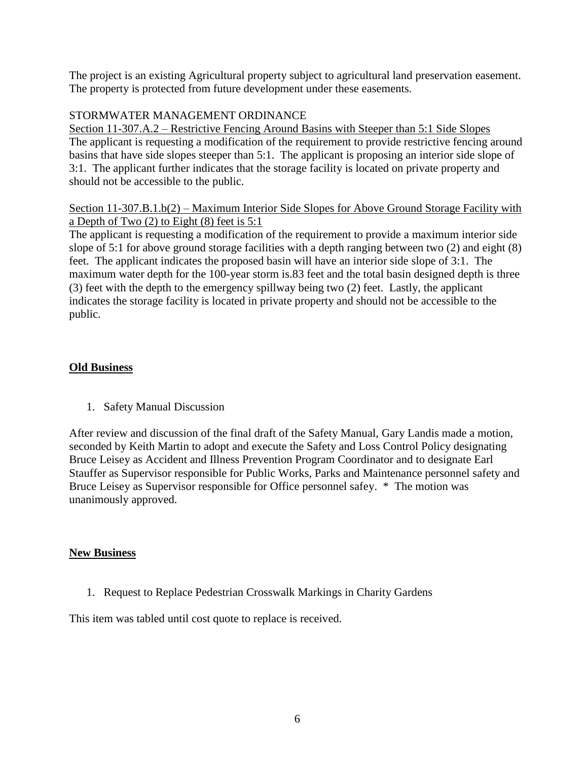The project is an existing Agricultural property subject to agricultural land preservation easement. The property is protected from future development under these easements.

## STORMWATER MANAGEMENT ORDINANCE

Section 11-307.A.2 – Restrictive Fencing Around Basins with Steeper than 5:1 Side Slopes The applicant is requesting a modification of the requirement to provide restrictive fencing around basins that have side slopes steeper than 5:1. The applicant is proposing an interior side slope of 3:1. The applicant further indicates that the storage facility is located on private property and should not be accessible to the public.

## Section 11-307.B.1.b(2) – Maximum Interior Side Slopes for Above Ground Storage Facility with a Depth of Two (2) to Eight (8) feet is 5:1

The applicant is requesting a modification of the requirement to provide a maximum interior side slope of 5:1 for above ground storage facilities with a depth ranging between two (2) and eight (8) feet. The applicant indicates the proposed basin will have an interior side slope of 3:1. The maximum water depth for the 100-year storm is.83 feet and the total basin designed depth is three (3) feet with the depth to the emergency spillway being two (2) feet. Lastly, the applicant indicates the storage facility is located in private property and should not be accessible to the public.

## **Old Business**

1. Safety Manual Discussion

After review and discussion of the final draft of the Safety Manual, Gary Landis made a motion, seconded by Keith Martin to adopt and execute the Safety and Loss Control Policy designating Bruce Leisey as Accident and Illness Prevention Program Coordinator and to designate Earl Stauffer as Supervisor responsible for Public Works, Parks and Maintenance personnel safety and Bruce Leisey as Supervisor responsible for Office personnel safey. \* The motion was unanimously approved.

## **New Business**

1. Request to Replace Pedestrian Crosswalk Markings in Charity Gardens

This item was tabled until cost quote to replace is received.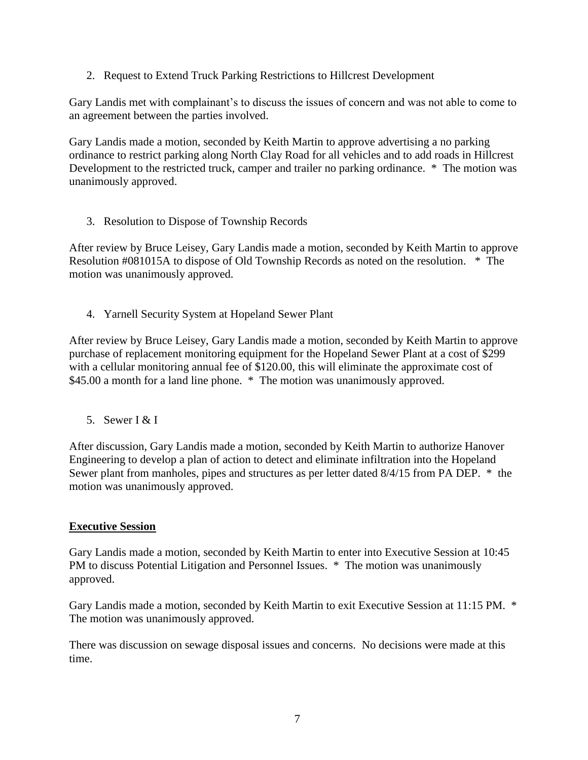2. Request to Extend Truck Parking Restrictions to Hillcrest Development

Gary Landis met with complainant's to discuss the issues of concern and was not able to come to an agreement between the parties involved.

Gary Landis made a motion, seconded by Keith Martin to approve advertising a no parking ordinance to restrict parking along North Clay Road for all vehicles and to add roads in Hillcrest Development to the restricted truck, camper and trailer no parking ordinance. \* The motion was unanimously approved.

3. Resolution to Dispose of Township Records

After review by Bruce Leisey, Gary Landis made a motion, seconded by Keith Martin to approve Resolution #081015A to dispose of Old Township Records as noted on the resolution. \* The motion was unanimously approved.

4. Yarnell Security System at Hopeland Sewer Plant

After review by Bruce Leisey, Gary Landis made a motion, seconded by Keith Martin to approve purchase of replacement monitoring equipment for the Hopeland Sewer Plant at a cost of \$299 with a cellular monitoring annual fee of \$120.00, this will eliminate the approximate cost of \$45.00 a month for a land line phone. \* The motion was unanimously approved.

5. Sewer  $\lceil x \rceil$ 

After discussion, Gary Landis made a motion, seconded by Keith Martin to authorize Hanover Engineering to develop a plan of action to detect and eliminate infiltration into the Hopeland Sewer plant from manholes, pipes and structures as per letter dated 8/4/15 from PA DEP. \* the motion was unanimously approved.

# **Executive Session**

Gary Landis made a motion, seconded by Keith Martin to enter into Executive Session at 10:45 PM to discuss Potential Litigation and Personnel Issues. \* The motion was unanimously approved.

Gary Landis made a motion, seconded by Keith Martin to exit Executive Session at 11:15 PM. \* The motion was unanimously approved.

There was discussion on sewage disposal issues and concerns. No decisions were made at this time.